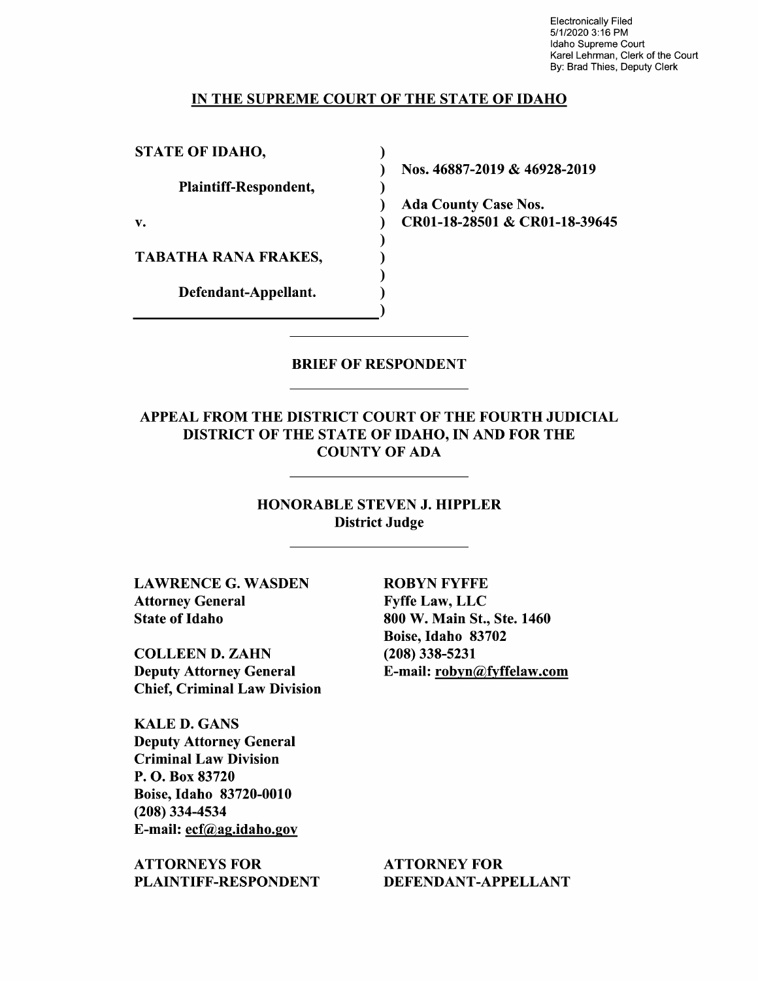Electronically Filed 5/1/2020 3:16 PM Idaho Supreme Court Karel Lehrman, Clerk of the Court By: Brad Thies, Deputy Clerk

#### IN THE SUPREME COURT OF THE STATE OF IDAHO

 $\mathcal{L}$  $\lambda$  $\mathcal{E}$  $\lambda$ 

 $\lambda$  $\mathbf{)}$  $\lambda$ 

STATE OF IDAHO,

Plaintiff—Respondent,

TABATHA RANA FRAKES,

Defendant—Appellant.

Nos. 46887-2019 & 46928-2019

Ada County Case Nos. v. CR01-18-28501 & CR01-18-39645

#### BRIEF OF RESPONDENT

# APPEAL FROM THE DISTRICT COURT OF THE FOURTH JUDICIAL DISTRICT OF THE STATE OF IDAHO, IN AND FOR THE COUNTY OF ADA

## HONORABLE STEVEN J. HIPPLER District Judge

LAWRENCE G. WASDEN ROBYN FYFFE Attorney General Fyffe Law, LLC State of Idaho 800 W. Main St., Ste. 1460

COLLEEN D. ZAHN (208) 338-5231 Deputy Attorney General E-mail: robyn@fyffelaw.com Chief, Criminal Law Division

KALE D. GANS Deputy Attorney General Criminal Law Division P. O. Box 83720 Boise, Idaho 83720-0010 (208) 334-4534 E-mail: ecf@ag.idaho.gov

ATTORNEYS FOR ATTORNEY FOR PLAINTIFF-RESPONDENT DEFENDANT-APPELLANT

Boise, Idaho 83702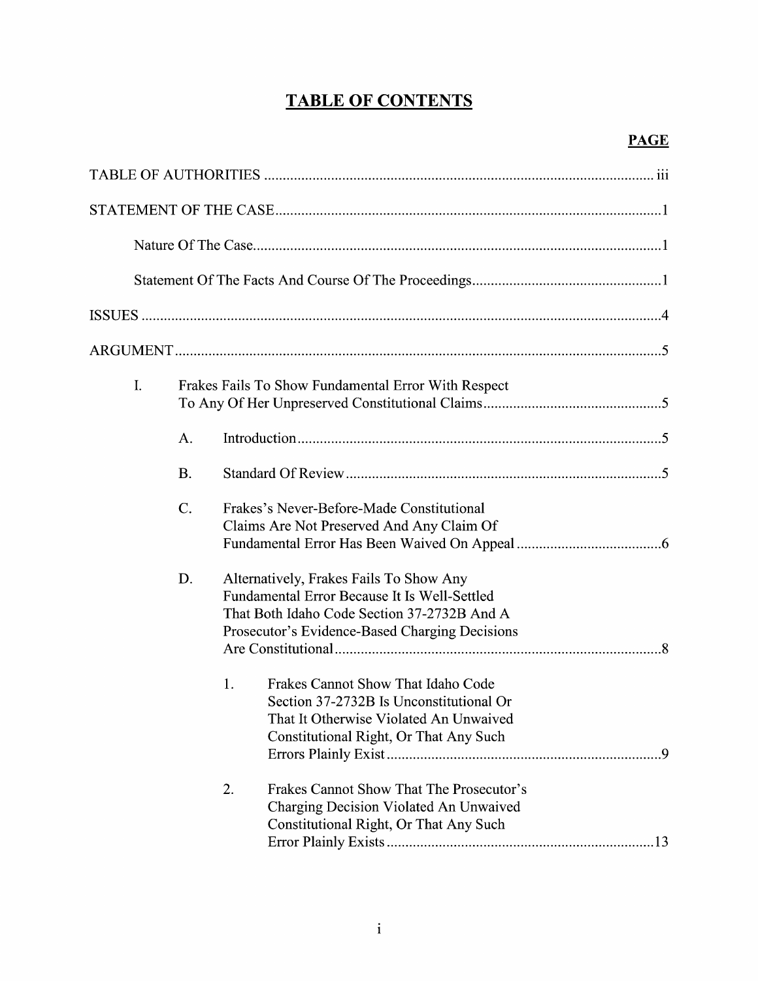# TABLE OF CONTENTS

| I. |           | Frakes Fails To Show Fundamental Error With Respect                                                                                                                                      |  |  |  |  |
|----|-----------|------------------------------------------------------------------------------------------------------------------------------------------------------------------------------------------|--|--|--|--|
|    | A.        |                                                                                                                                                                                          |  |  |  |  |
|    | <b>B.</b> |                                                                                                                                                                                          |  |  |  |  |
|    | $C$ .     | Frakes's Never-Before-Made Constitutional<br>Claims Are Not Preserved And Any Claim Of                                                                                                   |  |  |  |  |
|    | D.        | Alternatively, Frakes Fails To Show Any<br>Fundamental Error Because It Is Well-Settled<br>That Both Idaho Code Section 37-2732B And A<br>Prosecutor's Evidence-Based Charging Decisions |  |  |  |  |
|    |           | Frakes Cannot Show That Idaho Code<br>1.<br>Section 37-2732B Is Unconstitutional Or<br>That It Otherwise Violated An Unwaived<br>Constitutional Right, Or That Any Such                  |  |  |  |  |
|    |           | Frakes Cannot Show That The Prosecutor's<br>2.<br>Charging Decision Violated An Unwaived<br>Constitutional Right, Or That Any Such                                                       |  |  |  |  |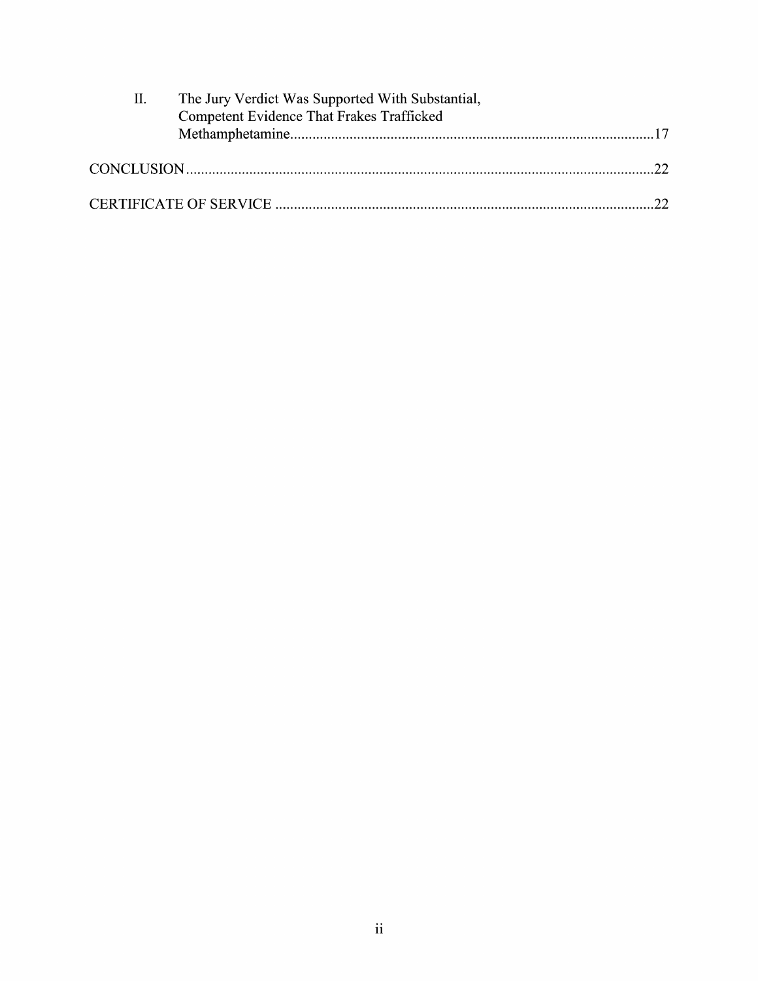| П. | The Jury Verdict Was Supported With Substantial, |  |
|----|--------------------------------------------------|--|
|    | Competent Evidence That Frakes Trafficked        |  |
|    |                                                  |  |
|    |                                                  |  |
|    |                                                  |  |
|    |                                                  |  |
|    |                                                  |  |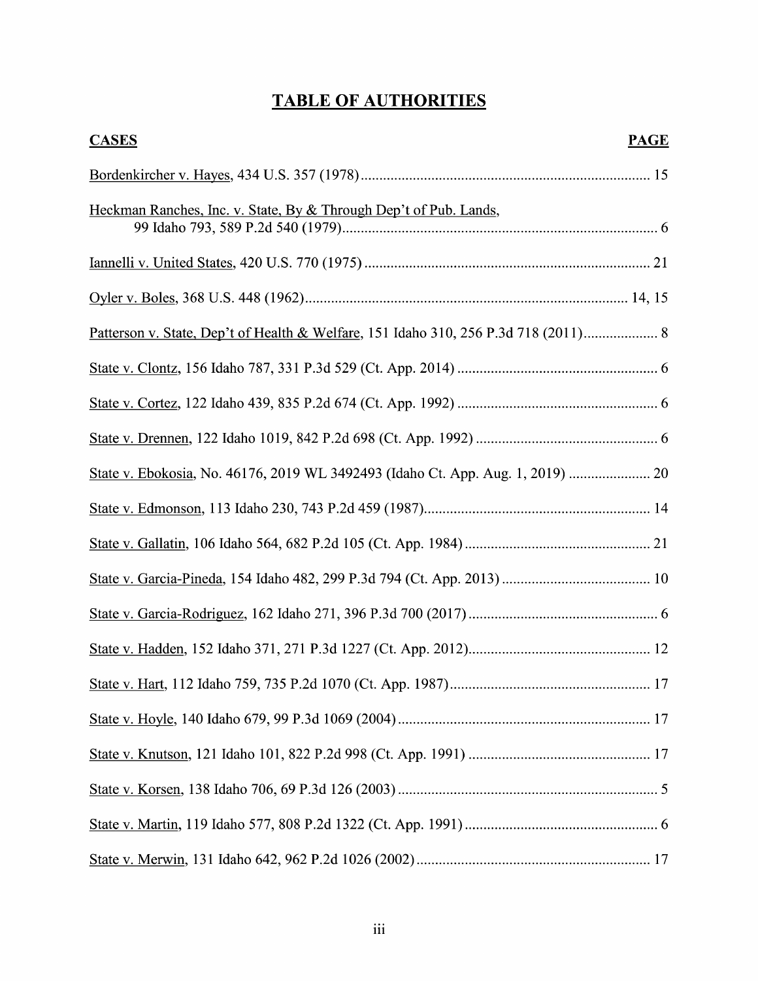# TABLE OF AUTHORITIES

| <b>CASES</b>                                                                      | <b>PAGE</b> |
|-----------------------------------------------------------------------------------|-------------|
|                                                                                   |             |
| Heckman Ranches, Inc. v. State, By & Through Dep't of Pub. Lands,                 |             |
|                                                                                   |             |
|                                                                                   |             |
| Patterson v. State, Dep't of Health & Welfare, 151 Idaho 310, 256 P.3d 718 (2011) |             |
|                                                                                   |             |
|                                                                                   |             |
|                                                                                   |             |
| State v. Ebokosia, No. 46176, 2019 WL 3492493 (Idaho Ct. App. Aug. 1, 2019)       |             |
|                                                                                   |             |
|                                                                                   |             |
|                                                                                   |             |
|                                                                                   |             |
|                                                                                   |             |
|                                                                                   | .17         |
|                                                                                   |             |
|                                                                                   |             |
|                                                                                   |             |
|                                                                                   |             |
|                                                                                   |             |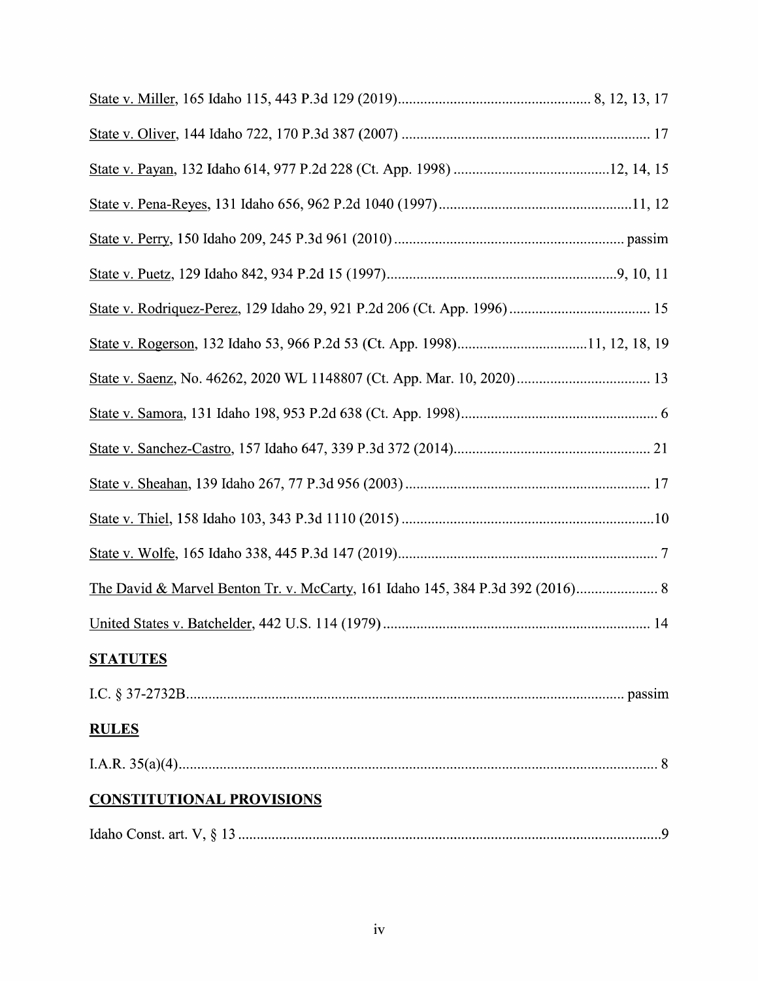| <b>STATUTES</b>                  |  |
|----------------------------------|--|
|                                  |  |
| <b>RULES</b>                     |  |
|                                  |  |
| <b>CONSTITUTIONAL PROVISIONS</b> |  |
|                                  |  |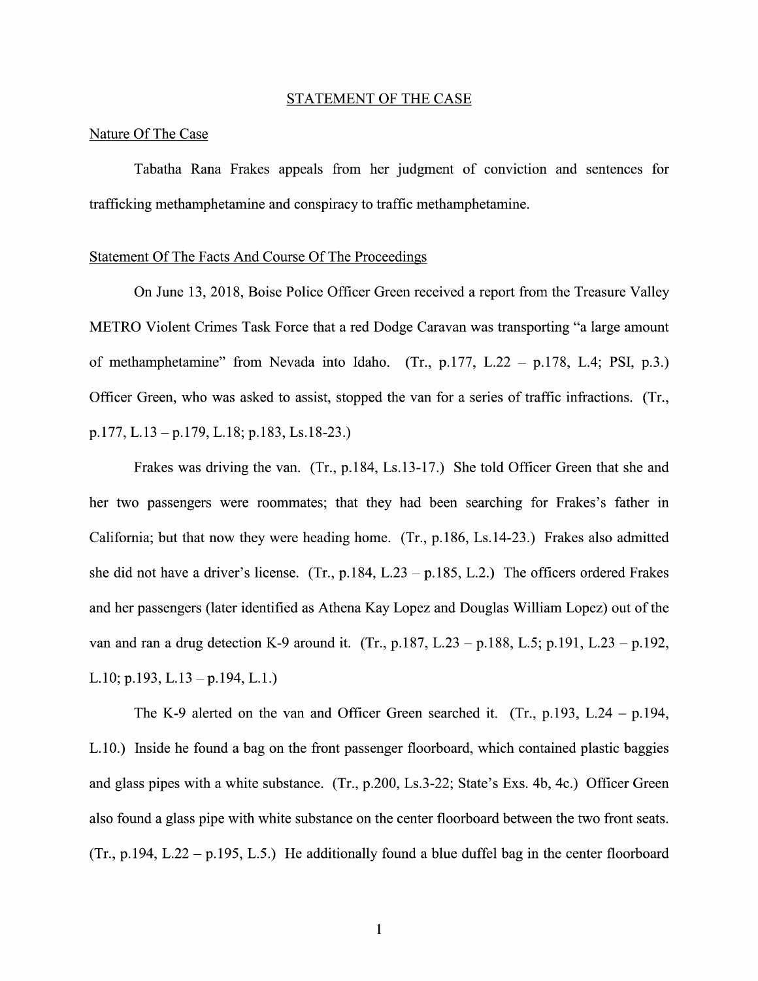#### STATEMENT OF THE CASE

#### Nature Of The Case

Tabatha Rana Frakes appeals from her judgment of conviction and sentences for trafficking methamphetamine and conspiracy to traffic methamphetamine.

#### Statement Of The Facts And Course Of The Proceedings

On June 13, 2018, Boise Police Officer Green received a report from the Treasure Valley METRO Violent Crimes Task Force that a red Dodge Caravan was transporting "a large amount of methamphetamine" from Nevada into Idaho. (Tr., p.177, L.22 - p.178, L.4; PSI, p.3.) Officer Green, who was asked to assist, stopped the van for a series of traffic infractions. (Tr., p.177, L.13 —p.179, L.18; p.183, Ls.18-23.)

Frakes was driving the van. (Tr., p.184, Ls.13-17.) She told Officer Green that she and her two passengers were roommates; that they had been searching for Frakes's father in California; but that now they were heading home. (Tr., p.186, Ls.14-23.) Frakes also admitted she did not have a driver's license. (Tr., p.184, L.23 – p.185, L.2.) The officers ordered Frakes and her passengers (later identified as Athena Kay Lopez and Douglas William Lopez) out 0f the van and ran a drug detection K-9 around it. (Tr., p.187, L.23 – p.188, L.5; p.191, L.23 – p.192, L.10; p.193, L.13 —p.194, L.1.)

The K-9 alerted on the van and Officer Green searched it. (Tr., p.193, L.24 - p.194, L.10.) Inside he found a bag on the front passenger floorboard, which contained plastic baggies and glass pipes with a white substance. (Tr., p.200, Ls.3-22; State's Exs. 4b, 4c.) Officer Green also found a glass pipe with white substance on the center floorboard between the two front seats. (Tr., p.194, L.22 - p.195, L.5.) He additionally found a blue duffel bag in the center floorboard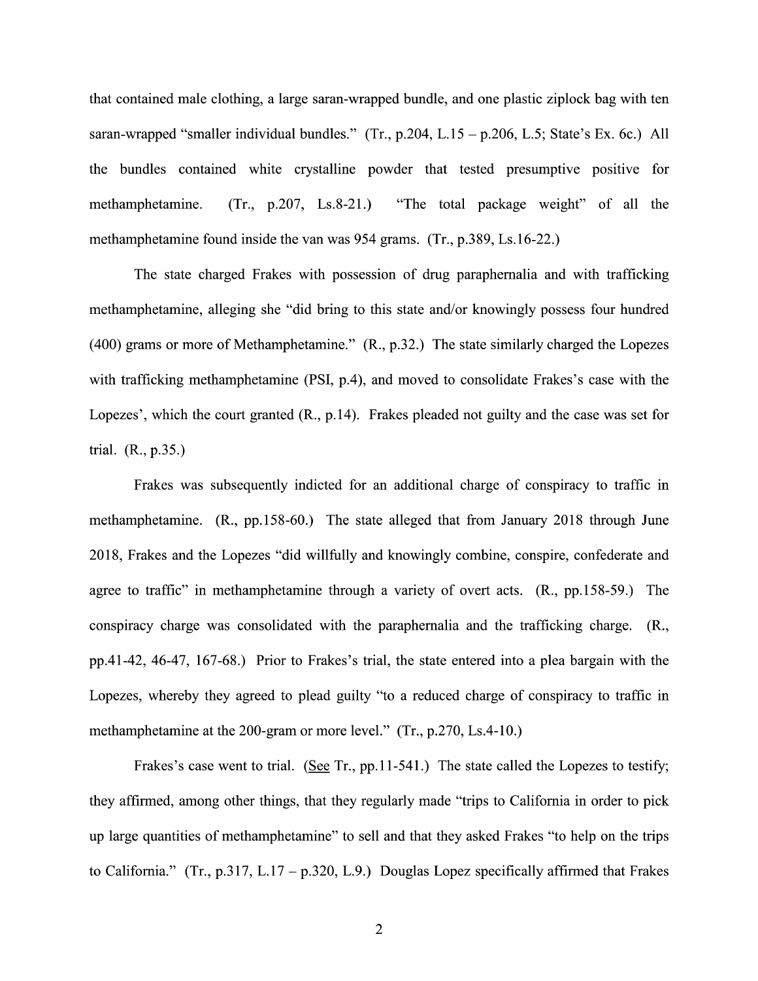that contained male clothing, a large saran-wrapped bundle, and one plastic ziplock bag with ten saran-wrapped "smaller individual bundles." (Tr., p.204, L.15 – p.206, L.5; State's Ex. 6c.) All the bundles contained white crystalline powder that tested presumptive positive for methamphetamine.  $(Tr, p.207, Ls.8-21)$  "The total package weight" of all the methamphetamine found inside the van was 954 grams. (Tr., p.389, Ls.16-22.)

The state charged Frakes with possession of drug paraphernalia and with trafficking methamphetamine, alleging she "did bring to this state and/or knowingly possess four hundred (400) grams or more of Methamphetamine." (R., p.32.) The state similarly charged the Lopezes with trafficking methamphetamine (PSI, p.4), and moved to consolidate Frakes's case with the Lopezes', Which the court granted (R., p.14). Frakes pleaded not guilty and the case was set for trial. (R., p.35.)

Frakes was subsequently indicted for an additional charge 0f conspiracy to traffic in methamphetamine. (R., pp.158-60.) The state alleged that from January 2018 through June 2018, Frakes and the Lopezes "did willfully and knowingly combine, conspire, confederate and agree to traffic" in methamphetamine through a variety of overt acts.  $(R., pp.158-59.)$  The conspiracy charge was consolidated With the paraphernalia and the trafficking charge. (R., pp.41-42, 46-47, 167-68.) Prior to Frakes's trial, the state entered into a plea bargain with the Lopezes, whereby they agreed to plead guilty "to a reduced charge of conspiracy to traffic in methamphetamine at the 200-gram or more level."  $(Tr, p.270, Ls.4-10.)$ 

Frakes's case went to trial. (See Tr., pp.11-541.) The state called the Lopezes to testify; they affirmed, among other things, that they regularly made "trips to California in order to pick up large quantities 0f methamphetamine" t0 sell and that they asked Frakes "t0 help 0n the trips to California." (Tr., p.317, L.17 – p.320, L.9.) Douglas Lopez specifically affirmed that Frakes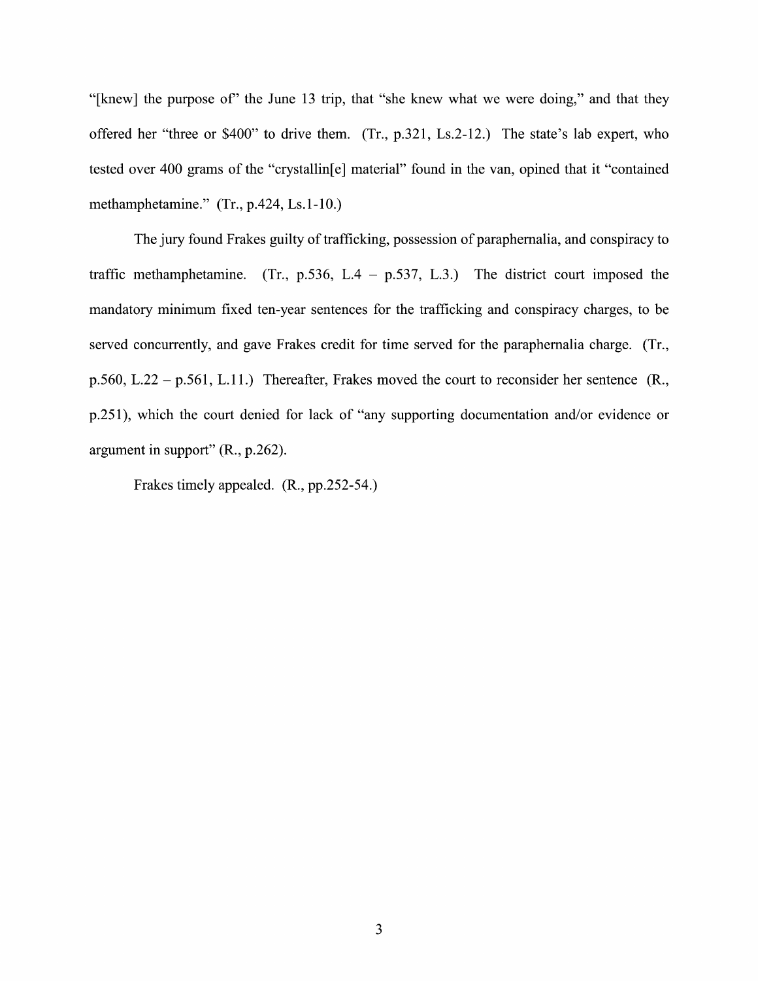"[knew] the purpose of' the June 13 trip, that "she knew What we were doing," and that they offered her "three or  $$400"$  to drive them. (Tr., p.321, Ls.2-12.) The state's lab expert, who tested over 400 grams of the "crystallin[e] material" found in the van, opined that it "contained methamphetamine."  $(Tr., p.424, Ls.1-10.)$ 

The jury found Frakes guilty of trafficking, possession 0f paraphernalia, and conspiracy to traffic methamphetamine. (Tr., p.536, L.4 – p.537, L.3.) The district court imposed the mandatory minimum fixed ten-year sentences for the trafficking and conspiracy charges, t0 be served concurrently, and gave Frakes credit for time served for the paraphernalia charge. (Tr., p.560, L.22 – p.561, L.11.) Thereafter, Frakes moved the court to reconsider her sentence  $(R_{n,})$ p.251), which the court denied for lack of "any supporting documentation and/or evidence or argument in support" (R., p.262).

Frakes timely appealed. (R., pp.252-54.)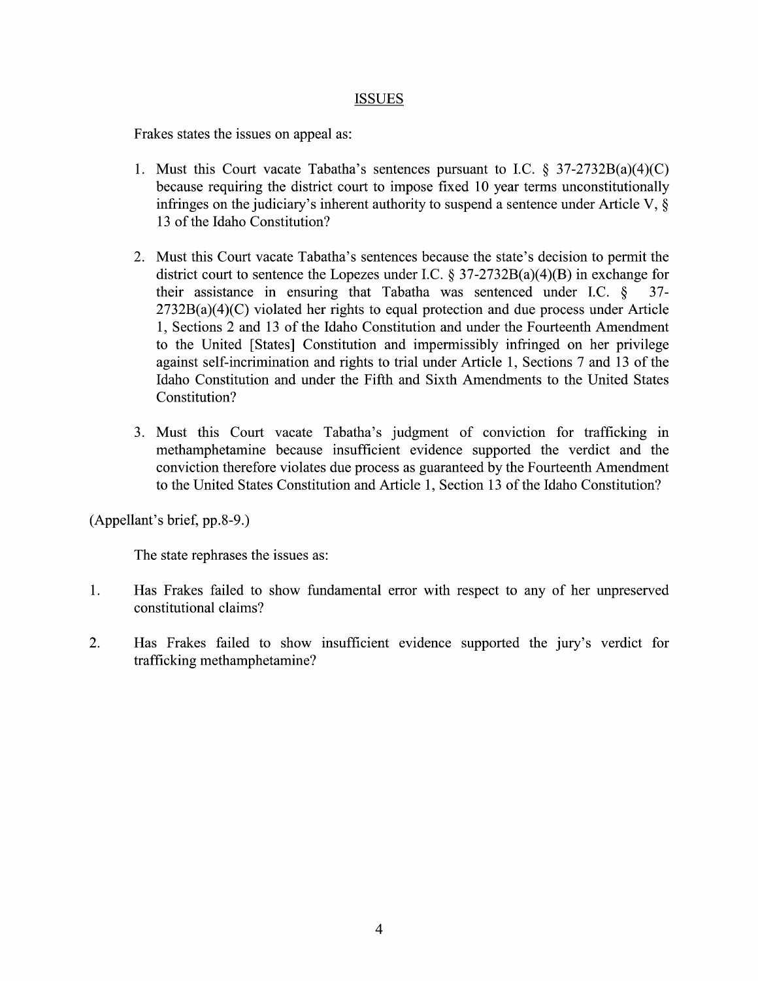## ISSUES

Frakes states the issues on appeal as:

- 1. Must this Court vacate Tabatha's sentences pursuant to I.C.  $\S 37-2732B(a)(4)(C)$ because requiring the district court to impose fixed 10 year terms unconstitutionally infringes on the judiciary's inherent authority to suspend a sentence under Article V,  $\S$ 13 of the Idaho Constitution?
- 2. Must this Court vacate Tabatha's sentences because the state's decision to permit the district court to sentence the Lopezes under I.C.  $\S 37-2732B(a)(4)(B)$  in exchange for their assistance in ensuring that Tabatha was sentenced under I.C.  $\S$  37-2732B(a)(4)(C) violated her rights to equal protection and due process under Article 1, Sections 2 and 13 of the Idaho Constitution and under the Fourteenth Amendment to the United [States] Constitution and impermissibly infringed on her privilege against self-incrimination and rights to trial under Article 1, Sections 7 and 13 of the Idaho Constitution and under the Fifth and Sixth Amendments to the United States Constitution?
- 3. Must this Court vacate Tabatha's judgment 0f conviction for trafficking in methamphetamine because insufficient evidence supported the verdict and the conviction therefore violates due process as guaranteed by the Fourteenth Amendment to the United States Constitution and Article 1, Section 13 of the Idaho Constitution?

(Appellant's brief, pp.8-9.)

The state rephrases the issues as:

- 1. Has Frakes failed t0 show fundamental error With respect t0 any of her unpreserved constitutional claims?
- 2. Has Frakes failed to show insufficient evidence supported the jury's verdict for trafficking methamphetamine?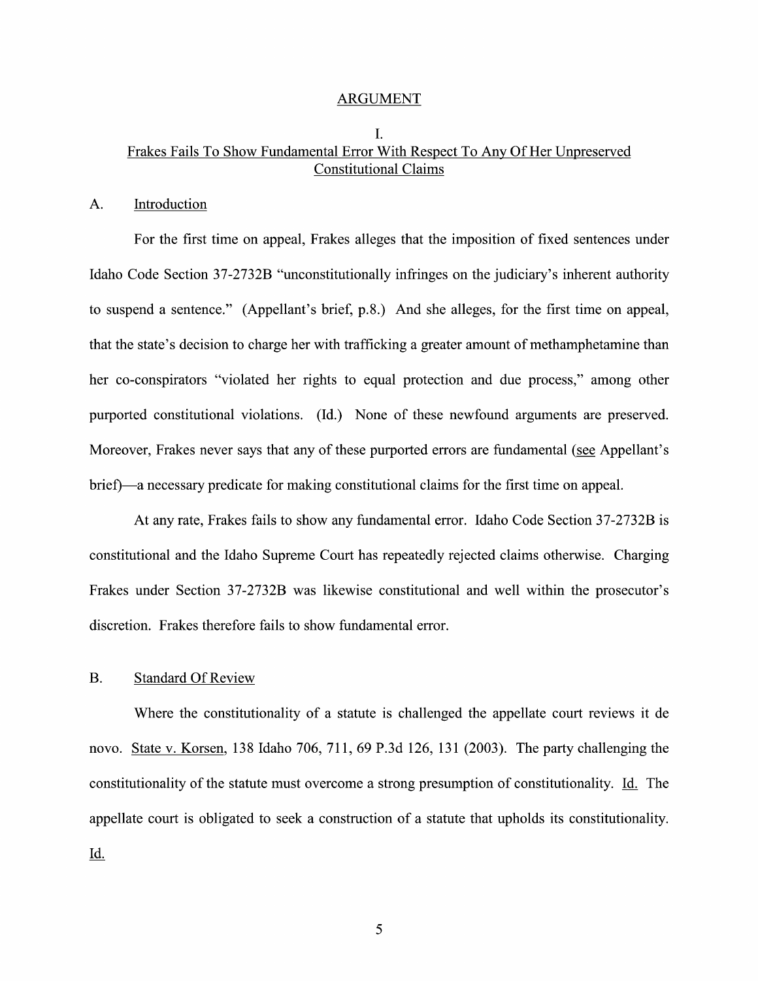#### ARGUMENT

## I. Frakes Fails To Show Fundamental Error With Respect To Any Of Her Unpreserved Constitutional Claims

### A. Introduction

For the first time 0n appeal, Frakes alleges that the imposition of fixed sentences under Idaho Code Section 37-2732B "unconstitutionally infringes 0n the judiciary's inherent authority to suspend a sentence." (Appellant's brief, p.8.) And she alleges, for the first time on appeal, that the state's decision to charge her with trafficking a greater amount of methamphetamine than her co-conspirators "violated her rights to equal protection and due process," among other purported constitutional violations. (Id.) None of these newfound arguments are preserved. Moreover, Frakes never says that any of these purported errors are fundamental (see Appellant's brief—a necessary predicate for making constitutional claims for the first time on appeal.

At any rate, Frakes fails t0 show any fundamental error. Idaho Code Section 37-2732B is constitutional and the Idaho Supreme Court has repeatedly rejected claims otherwise. Charging Frakes under Section 37-2732B was likewise constitutional and well Within the prosecutor's discretion. Frakes therefore fails to show fundamental error.

### B. Standard Of Review

Where the constitutionality of a statute is challenged the appellate court reviews it de novo. State v. Korsen, 138 Idaho 706, 711, 69 P.3d 126, 131 (2003). The party challenging the constitutionality of the statute must overcome a strong presumption of constitutionality. Id. The appellate court is obligated to seek a construction of a statute that upholds its constitutionality. Id.

5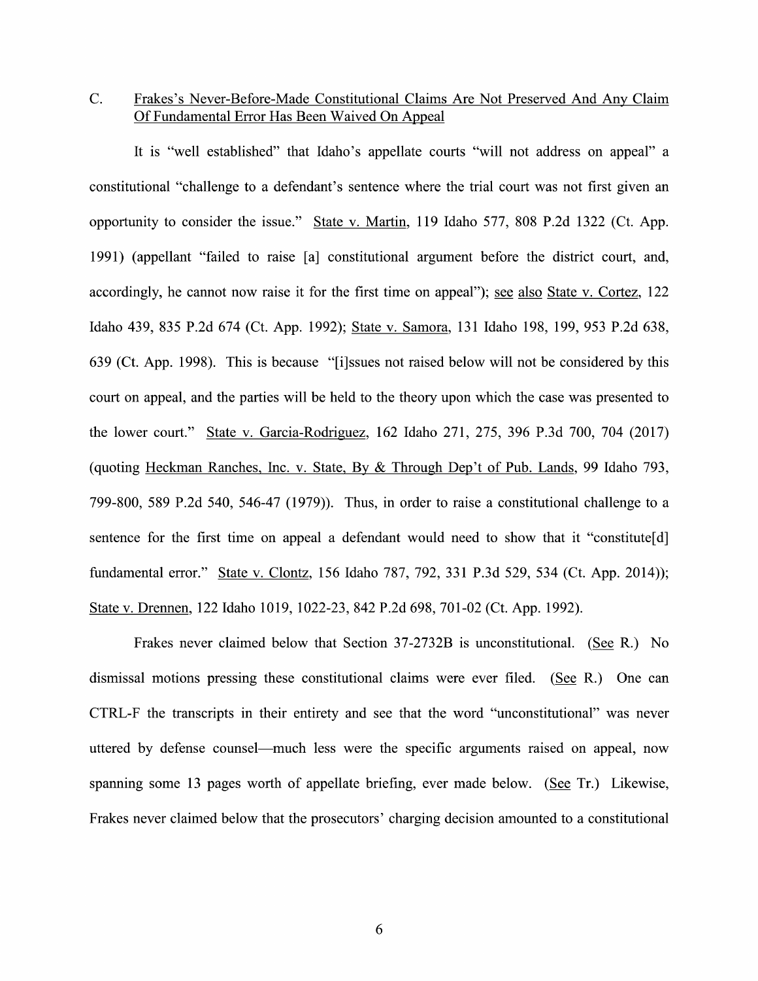## C. Frakes's Never—Before-Made Constitutional Claims Are Not Preserved And Any Claim Of Fundamental Error Has Been Waived On Appeal

It is "well established" that Idaho's appellate courts "will not address on appeal" a constitutional "challenge to defendant's sentence where the trial court was not first given an opportunity to consider the issue." State v. Martin, 119 Idaho 577, 808 P.2d 1322 (Ct. App. 1991) (appellant "failed t0 raise [a] constitutional argument before the district court, and, accordingly, he cannot now raise it for the first time on appeal"); see also State v. Cortez, 122 Idaho 439, 835 P.2d 674 (Ct. App. 1992); State V. Samora, 131 Idaho 198, 199, 953 P.2d 638, 639 (Ct. App. 1998). This is because "[i]ssues not raised below Will not be considered by this court on appeal, and the parties will be held to the theory upon which the case was presented to the lower court." State V. Garcia-Rodriguez, <sup>162</sup> Idaho 271, 275, <sup>396</sup> P.3d 700, <sup>704</sup> (2017) (quoting Heckman Ranches, Inc. v. State, By  $&$  Through Dep't of Pub. Lands, 99 Idaho 793, 799-800, 589 P.2d 540, 546-47 (1979)). Thus, in order to raise a constitutional challenge to a sentence for the first time on appeal a defendant would need to show that it "constitute[d] fundamental error." State v. Clontz, 156 Idaho 787, 792, 331 P.3d 529, 534 (Ct. App. 2014)); State V. Drennen, 122 Idaho 1019, 1022-23, 842 P.2d 698, 701-02 (Ct. App. 1992).

Frakes never claimed below that Section  $37-2732B$  is unconstitutional. (See R.) No dismissal motions pressing these constitutional claims were ever filed. (See R.) One can CTRL-F the transcripts in their entirety and see that the word "unconstitutional" was never uttered by defense counsel—much less were the specific arguments raised 0n appeal, now spanning some 13 pages worth of appellate briefing, ever made below. (See Tr.) Likewise, Frakes never claimed below that the prosecutors' charging decision amounted to a constitutional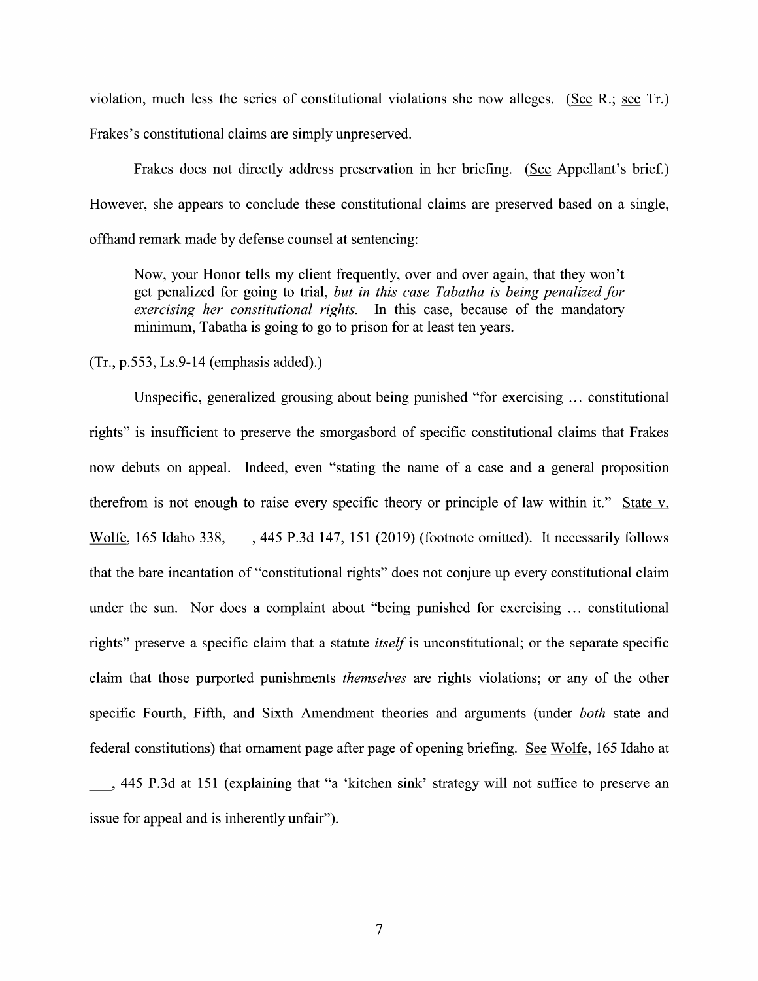violation, much less the series of constitutional violations she now alleges. (See R.; see Tr.) Frakes's constitutional claims are simply unpreserved.

Frakes does not directly address preservation in her briefing. (See Appellant's brief.) However, she appears to conclude these constitutional claims are preserved based on a single, offhand remark made by defense counsel at sentencing:

Now, your Honor tells my client frequently, over and over again, that they won't get penalized for going to trial, but in this case Tabatha is being penalized for exercising her constitutional rights. In this case, because of the mandatory minimum, Tabatha is going to go to prison for at least ten years.

 $(Tr., p.553, Ls.9-14$  (emphasis added).)

Unspecific, generalized grousing about being punished "for exercising ... constitutional rights" is insufficient to preserve the smorgasbord of specific constitutional claims that Frakes now debuts on appeal. Indeed, even "stating the name of a case and a general proposition therefrom is not enough to raise every specific theory or principle of law within it." State v. Wolfe, 165 Idaho 338, Ata 445 P.3d 147, 151 (2019) (footnote omitted). It necessarily follows that the bare incantation of "constitutional rights" does not conjure up every constitutional claim under the sun. Nor does a complaint about "being punished for exercising ... constitutional rights" preserve a specific claim that a statute *itself* is unconstitutional; or the separate specific claim that those purported punishments *themselves* are rights violations; or any of the other specific Fourth, Fifth, and Sixth Amendment theories and arguments (under *both* state and federal constitutions) that ornament page after page of opening briefing. See Wolfe, 165 Idaho at \_, <sup>445</sup> P.3d at <sup>151</sup> (explaining that "a 'kitchen sink' strategy Will not suffice t0 preserve an issue for appeal and is inherently unfair").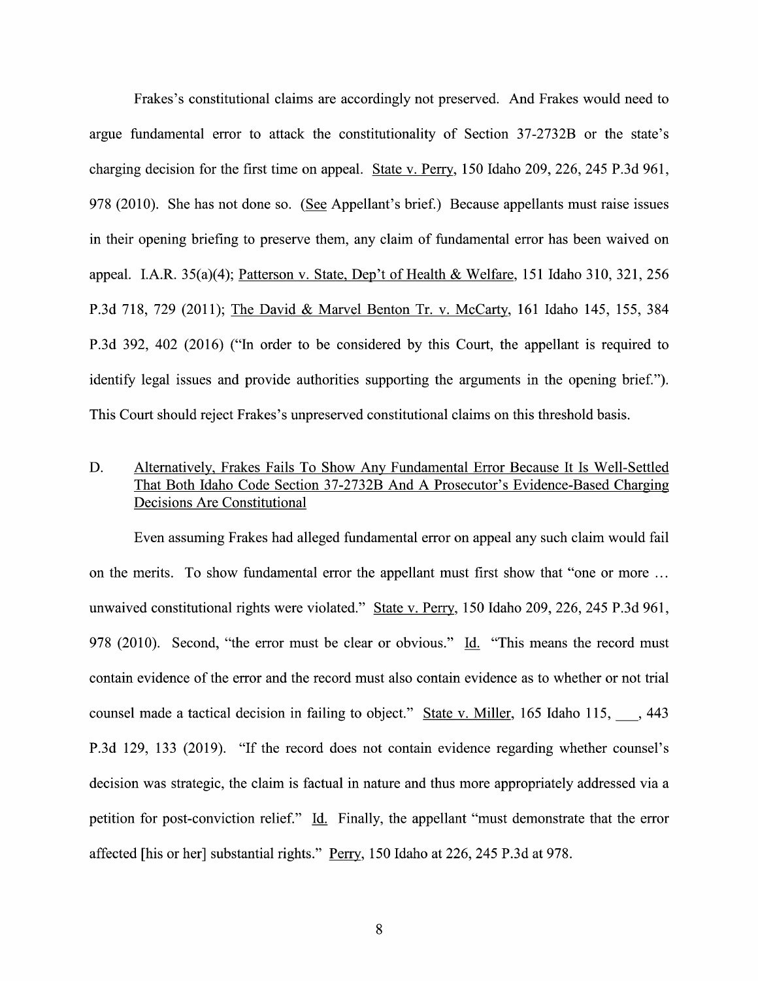Frakes's constitutional claims are accordingly not preserved. And Frakes would need t0 argue fundamental error to attack the constitutionality of Section 37-2732B 0r the state's charging decision for the first time on appeal. State v. Perry, 150 Idaho 209, 226, 245 P.3d 961, 978 (2010). She has not done so. (See Appellant's brief.) Because appellants must raise issues in their opening briefing to preserve them, any claim of fundamental error has been waived on appeal. I.A.R.  $35(a)(4)$ ; Patterson v. State, Dep't of Health & Welfare, 151 Idaho 310, 321, 256 P.3d 718, 729 (2011); The David & Marvel Benton Tr. v. McCarty, 161 Idaho 145, 155, 384 P.3d 392, 402 (2016) ("In order to be considered by this Court, the appellant is required to identify legal issues and provide authorities supporting the arguments in the opening brief."). This Court should reject Frakes's unpreserved constitutional claims on this threshold basis.

# D. Alternatively, Frakes Fails To Show Any Fundamental Error Because It Is Well-Settled That Both Idaho Code Section 37-2732B And A Prosecutor's Evidence-Based Charging Decisions Are Constitutional

Even assuming Frakes had alleged fundamental error 0n appeal any such claim would fail on the merits. To show fundamental error the appellant must first show that "one or more ... unwaived constitutional rights were violated." State v. Perry, 150 Idaho 209, 226, 245 P.3d 961, 978 (2010). Second, "the error must be clear or obvious." Id. "This means the record must contain evidence 0f the error and the record must also contain evidence as to whether or not trial counsel made a tactical decision in failing to object." State v. Miller, 165 Idaho 115, 1443 P.3d 129, 133 (2019). "If the record does not contain evidence regarding Whether counsel's decision was strategic, the claim is factual in nature and thus more appropriately addressed via a petition for post-conviction relief." Id. Finally, the appellant "must demonstrate that the error affected [his or her] substantial rights." Per\_ry, 150 Idaho at 226, 245 P.3d at 978.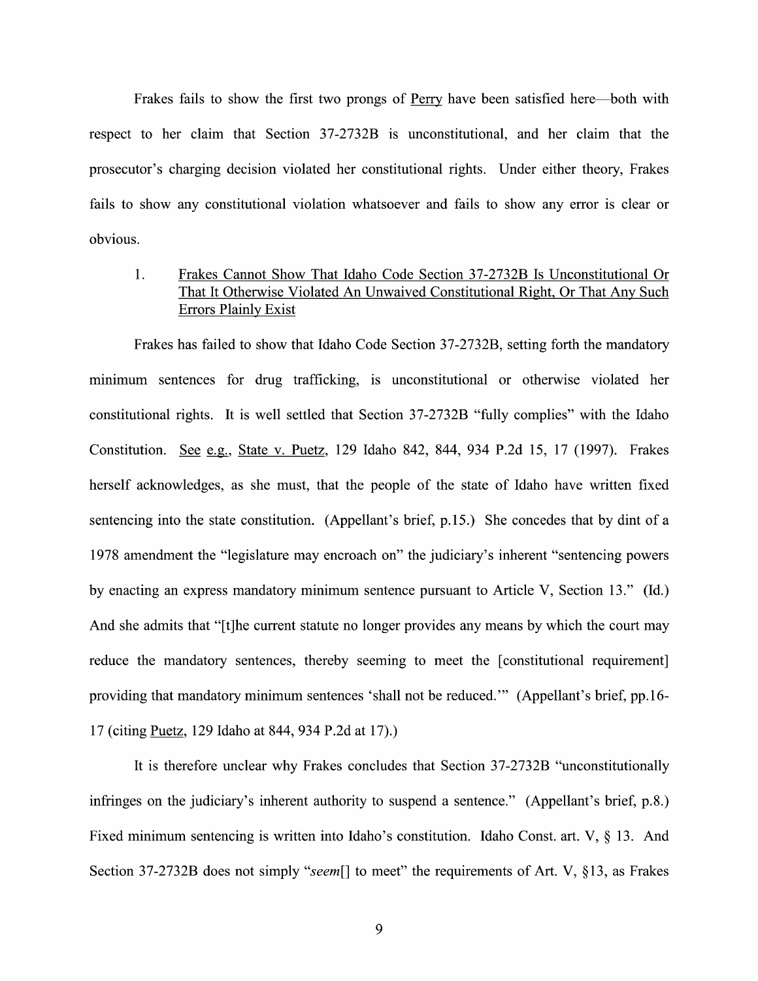Frakes fails to show the first two prongs of Perry have been satisfied here—both with respect to her claim that Section 37-2732B is unconstitutional, and her claim that the prosecutor's charging decision violated her constitutional rights. Under either theory, Frakes fails to show any constitutional violation whatsoever and fails to show any error is clear or obvious.

# 1. Frakes Cannot Show That Idaho Code Section 37-2732B Is Unconstitutional Or That It Otherwise Violated An Unwaived Constitutional Right, Or That Any Such Errors Plainly Exist

Frakes has failed to show that Idaho Code Section 37-2732B, setting forth the mandatory minimum sentences for drug trafficking, is unconstitutional or otherwise violated her constitutional rights. It is well settled that Section 37-2732B "fully complies" With the Idaho Constitution. See e.g., State v. Puetz, 129 Idaho 842, 844, 934 P.2d 15, 17 (1997). Frakes herself acknowledges, as she must, that the people 0f the state of Idaho have written fixed sentencing into the state constitution. (Appellant's brief, p.15.) She concedes that by dint of a 1978 amendment the "legislature may encroach on" the judiciary's inherent "sentencing powers by enacting an express mandatory minimum sentence pursuant to Article V, Section 13." (Id.) And she admits that "[t]he current statute no longer provides any means by Which the court may reduce the mandatory sentences, thereby seeming to meet the [constitutional requirement] providing that mandatory minimum sentences 'shall not be reduced.'" (Appellant's brief, pp.16- 17 (citing Puetz, 129 Idaho at 844, 934 P.2d at 17).)

It is therefore unclear why Frakes concludes that Section 37-2732B "unconstitutionally infringes on the judiciary's inherent authority to suspend a sentence." (Appellant's brief, p.8.) Fixed minimum sentencing is written into Idaho's constitution. Idaho Const. art. V,  $\S$  13. And Section 37-2732B does not simply "seem<sup>[]</sup> to meet" the requirements of Art. V, §13, as Frakes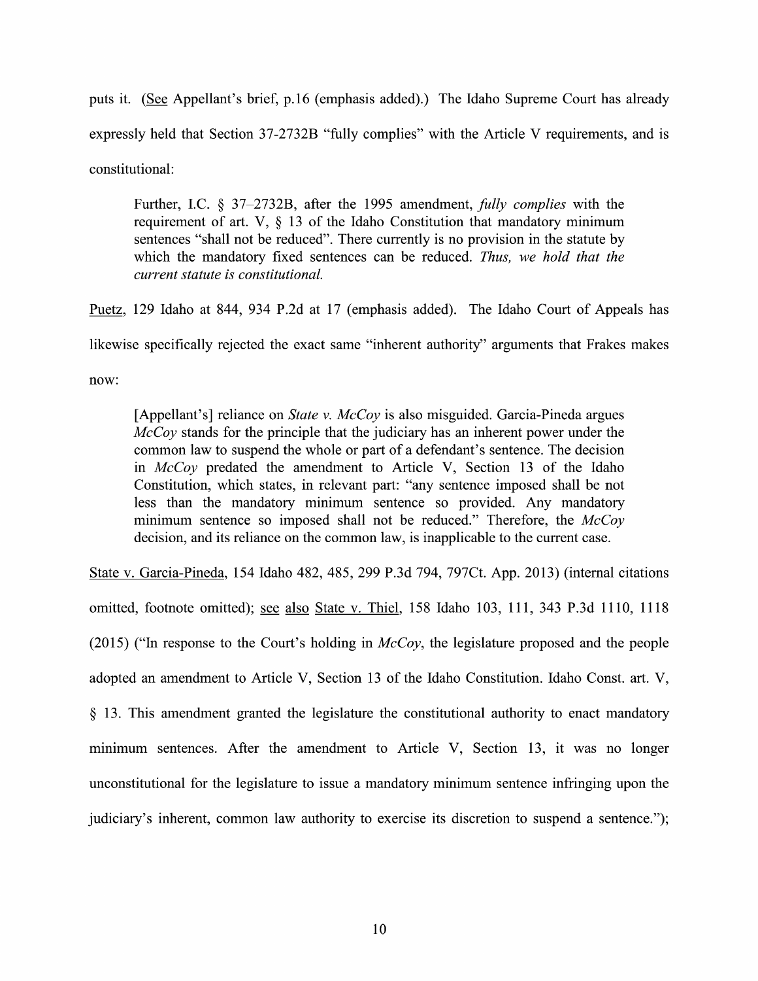puts it. (See Appellant's brief, p.16 (emphasis added).) The Idaho Supreme Court has already expressly held that Section 37-2732B "fully complies" with the Article V requirements, and is constitutional:

Further, I.C.  $\S$  37-2732B, after the 1995 amendment, *fully complies* with the requirement of art. V,  $\S$  13 of the Idaho Constitution that mandatory minimum sentences "shall not be reduced". There currently is no provision in the statute by which the mandatory fixed sentences can be reduced. Thus, we hold that the current statute is constitutional.

Puetz, 129 Idaho at 844, 934 P.2d at 17 (emphasis added). The Idaho Court of Appeals has

likewise specifically rejected the exact same "inherent authority" arguments that Frakes makes

now:

[Appellant's] reliance on *State v. McCoy* is also misguided. Garcia-Pineda argues McCoy stands for the principle that the judiciary has an inherent power under the common law to suspend the whole or part of a defendant's sentence. The decision in McCoy predated the amendment to Article V, Section <sup>13</sup> 0f the Idaho Constitution, which states, in relevant part: "any sentence imposed shall be not less than the mandatory minimum sentence so provided. Any mandatory minimum sentence so imposed shall not be reduced." Therefore, the  $McCov$ decision, and its reliance on the common law, is inapplicable to the current case.

State V. Garcia—Pineda, 154 Idaho 482, 485, 299 P.3d 794, 797Ct. App. 2013) (internal citations omitted, footnote omitted); see also State v. Thiel, 158 Idaho 103, 111, 343 P.3d 1110, 1118 (2015) ("In response to the Court's holding in  $McCov$ , the legislature proposed and the people adopted an amendment to Article V, Section 13 of the Idaho Constitution. Idaho Const. art. V, 13. This amendment granted the legislature the constitutional authority t0 enact mandatory minimum sentences. After the amendment to Article V, Section 13, it was no longer unconstitutional for the legislature to issue a mandatory minimum sentence infringing upon the judiciary's inherent, common law authority to exercise its discretion to suspend a sentence.");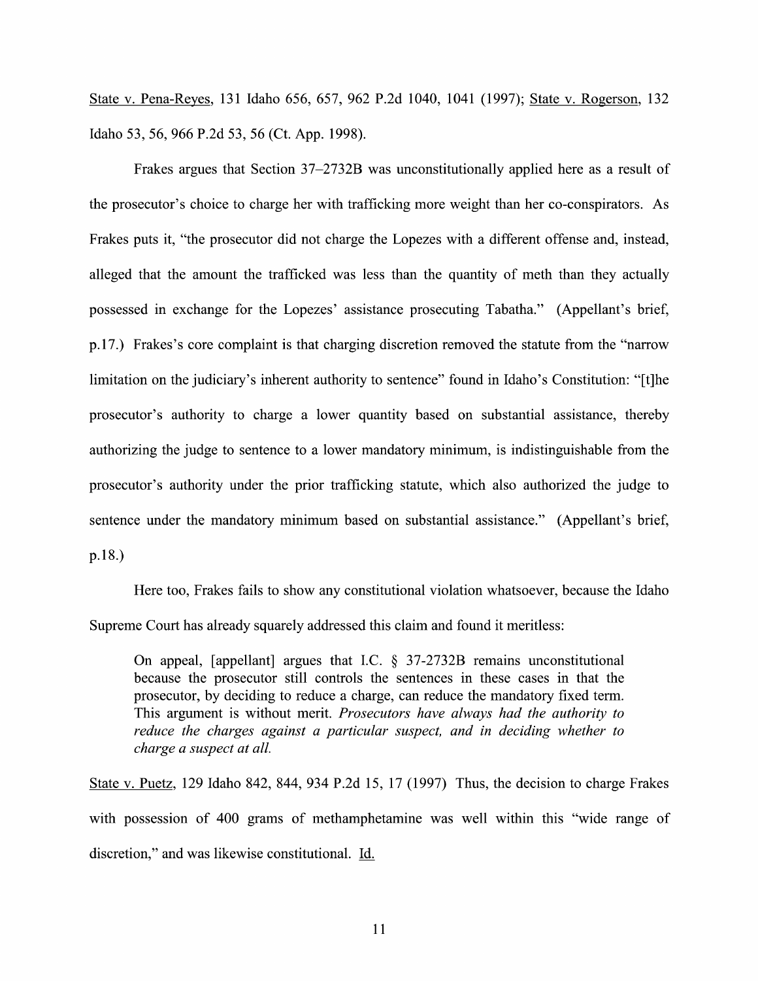State v. Pena-Reyes, 131 Idaho 656, 657, 962 P.2d 1040, 1041 (1997); State v. Rogerson, 132 Idaho 53, 56, <sup>966</sup> P.2d 53, <sup>56</sup> (Ct. App. 1998).

Frakes argues that Section 37–2732B was unconstitutionally applied here as a result of the prosecutor's choice to charge her with trafficking more weight than her co-conspirators. As Frakes puts it, "the prosecutor did not charge the Lopezes with a different offense and, instead, alleged that the amount the trafficked was less than the quantity 0f meth than they actually possessed in exchange for the Lopezes' assistance prosecuting Tabatha." (Appellant's brief, p.17.) Frakes's core complaint is that charging discretion removed the statute from the "narrow limitation on the judiciary's inherent authority to sentence" found in Idaho's Constitution: "[t]he prosecutor's authority to charge a lower quantity based on substantial assistance, thereby authorizing the judge to sentence to a lower mandatory minimum, is indistinguishable from the prosecutor's authority under the prior trafficking statute, which also authorized the judge to sentence under the mandatory minimum based 0n substantial assistance." (Appellant's brief, p.18.)

Here too, Frakes fails t0 show any constitutional Violation whatsoever, because the Idaho Supreme Court has already squarely addressed this claim and found it meritless:

On appeal, [appellant] argues that I.C.  $\S$  37-2732B remains unconstitutional because the prosecutor still controls the sentences in these cases in that the prosecutor, by deciding to reduce a charge, can reduce the mandatory fixed term. This argument is without merit. Prosecutors have always had the authority to reduce the charges against a particular suspect, and in deciding whether to charge a suspect at all.

State V. Puetz, 129 Idaho 842, 844, 934 P.2d 15, 17 (1997) Thus, the decision to charge Frakes with possession of 400 grams of methamphetamine was well within this "wide range of discretion," and was likewise constitutional. Li.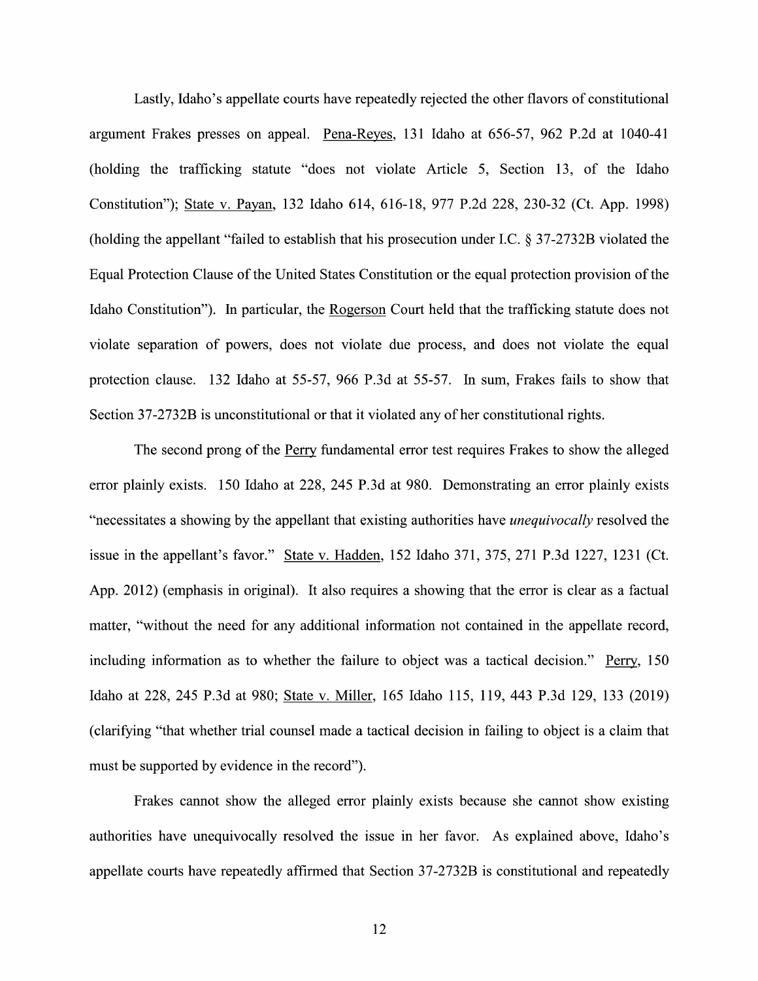Lastly, Idaho's appellate courts have repeatedly rejected the other flavors of constitutional argument Frakes presses on appeal. Pena—Reyes, 131 Idaho at 656-57, 962 P.2d at 1040-41 (holding the trafficking statute "does not Violate Article 5, Section 13, of the Idaho Constitution"); State V. Payan, 132 Idaho 614, 616-18, 977 P.2d 228, 230-32 (Ct. App. 1998) (holding the appellant "failed to establish that his prosecution under I.C.  $\S 37-2732B$  violated the Equal Protection Clause of the United States Constitution or the equal protection provision of the Idaho Constitution"). In particular, the Rogerson Court held that the trafficking statute does not violate separation of powers, does not violate due process, and does not violate the equal protection clause. 132 Idaho at 55-57, 966 P.3d at 55-57. In sum, Frakes fails to show that Section 37-2732B is unconstitutional or that it violated any of her constitutional rights.

The second prong of the Perry fundamental error test requires Frakes to show the alleged error plainly exists. 150 Idaho at 228, 245 P.3d at 980. Demonstrating an error plainly exists "necessitates a showing by the appellant that existing authorities have *unequivocally* resolved the issue in the appellant's favor." State v. Hadden, 152 Idaho 371, 375, 271 P.3d 1227, 1231 (Ct. App.  $2012$ ) (emphasis in original). It also requires a showing that the error is clear as a factual matter, "without the need for any additional information not contained in the appellate record, including information as to whether the failure to object was a tactical decision." Perry,  $150$ Idaho at 228, 245 P.3d at 980; State V. Miller, 165 Idaho 115, 119, 443 P.3d 129, 133 (2019) (clarifying "that whether trial counsel made a tactical decision in failing to object is a claim that must be supported by evidence in the record").

Frakes cannot show the alleged error plainly exists because she cannot show existing authorities have unequivocally resolved the issue in her favor. As explained above, Idaho's appellate courts have repeatedly affirmed that Section 37-2732B is constitutional and repeatedly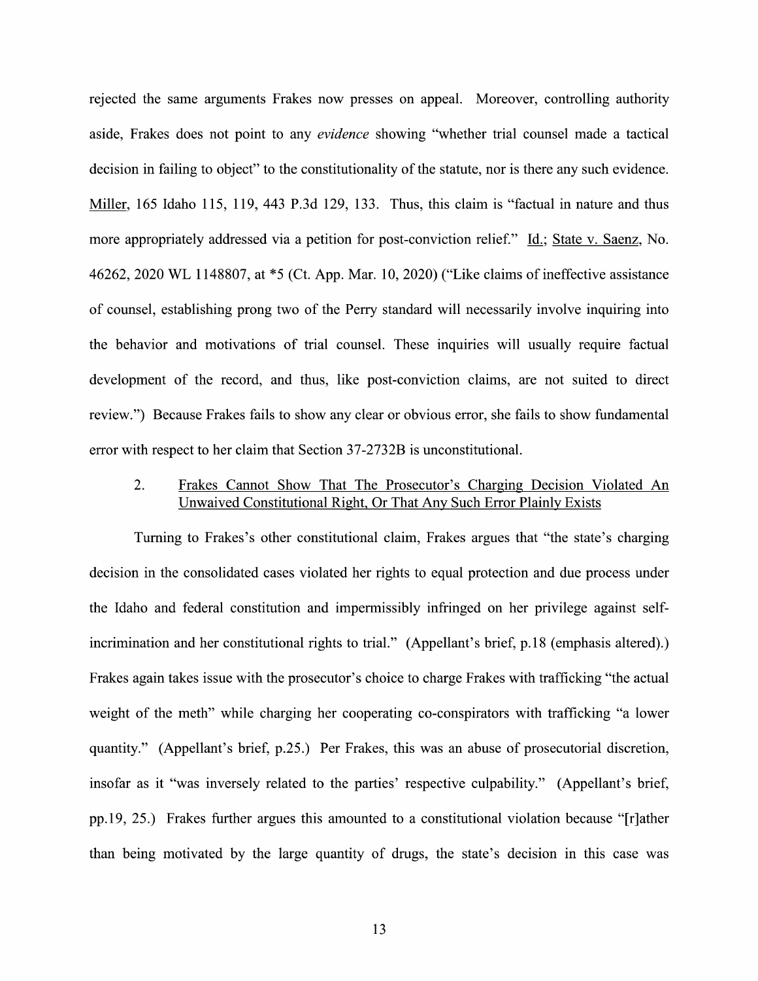rejected the same arguments Frakes now presses 0n appeal. Moreover, controlling authority aside, Frakes does not point to any *evidence* showing "whether trial counsel made a tactical decision in failing to object" to the constitutionality of the statute, nor is there any such evidence. Miller, 165 Idaho 115, 119, 443 P.3d 129, 133. Thus, this claim is "factual in nature and thus more appropriately addressed via a petition for post-conviction relief." Id.; State v. Saenz, No. 46262, <sup>2020</sup> WL 1148807, at \*5 (Ct. App. Mar. 10, 2020) ("Like claims 0f ineffective assistance of counsel, establishing prong two 0f the Perry standard will necessarily involve inquiring into the behavior and motivations 0f trial counsel. These inquiries will usually require factual development of the record, and thus, like post-conviction claims, are not suited to direct review.") Because Frakes fails to show any clear or obvious error, she fails to show fundamental error with respect to her claim that Section 37-2732B is unconstitutional.

## 2. Frakes Cannot Show That The Prosecutor's Charging Decision Violated An Unwaived Constitutional Right, Or That Any Such Error Plainlv Exists

Turning to Frakes's other constitutional claim, Frakes argues that "the state's charging decision in the consolidated cases violated her rights to equal protection and due process under the Idaho and federal constitution and impermissibly infringed on her privilege against selfincrimination and her constitutional rights to trial." (Appellant's brief, p.18 (emphasis altered).) Frakes again takes issue With the prosecutor's choice to charge Frakes with trafficking "the actual weight 0f the meth" while charging her cooperating co-conspirators with trafficking "a lower quantity." (Appellant's brief, p.25.) Per Frakes, this was an abuse of prosecutorial discretion, insofar as it "was inversely related t0 the parties' respective culpability." (Appellant's brief, pp.19, 25.) Frakes further argues this amounted to a constitutional violation because " $[r]$ ather than being motivated by the large quantity 0f drugs, the state's decision in this case was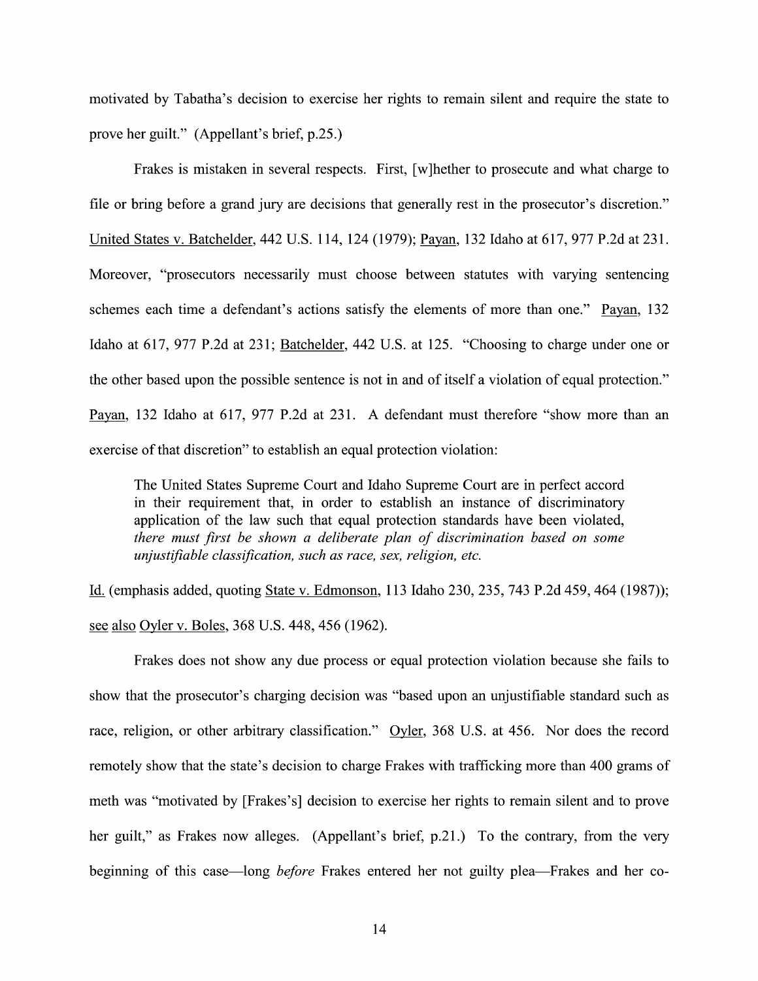motivated by Tabatha's decision to exercise her rights to remain silent and require the state to prove her guilt." (Appellant's brief, p.25.)

Frakes is mistaken in several respects. First, [w]hether to prosecute and what charge to file or bring before a grand jury are decisions that generally rest in the prosecutor's discretion." United States V. Batchelder, 442 U.S. 114, 124 (1979); Payan, 132 Idaho at 617, 977 P.2d at 231. Moreover, "prosecutors necessarily must choose between statutes with varying sentencing schemes each time a defendant's actions satisfy the elements of more than one." Payan, 132 Idaho at 617, 977 P.2d at 231; Batchelder, 442 U.S. at 125. "Choosing to charge under one or the other based upon the possible sentence is not in and of itself a violation of equal protection." Payan, 132 Idaho at 617, 977 P.2d at 231. A defendant must therefore "show more than an exercise of that discretion" to establish an equal protection violation:

The United States Supreme Court and Idaho Supreme Court are in perfect accord in their requirement that, in order to establish an instance of discriminatory application of the law such that equal protection standards have been violated, there must first be shown a deliberate plan of discrimination based on some unjustifiable classification, such as race, sex, religion, etc.

Li. (emphasis added, quoting State V. Edmonson, <sup>113</sup> Idaho 230, 235, <sup>743</sup> P.2d 459, <sup>464</sup> (1987)); see also Oyler v. Boles, 368 U.S. 448, 456 (1962).

Frakes does not show any due process or equal protection violation because she fails to show that the prosecutor's charging decision was "based upon an unjustifiable standard such as race, religion, or other arbitrary classification." Ovler,  $368$  U.S. at 456. Nor does the record remotely show that the state's decision to charge Frakes with trafficking more than 400 grams of meth was "motivated by [Frakes's] decision to exercise her rights to remain silent and to prove her guilt," as Frakes now alleges. (Appellant's brief, p.21.) To the contrary, from the very beginning of this case—long before Frakes entered her not guilty plea—Frakes and her co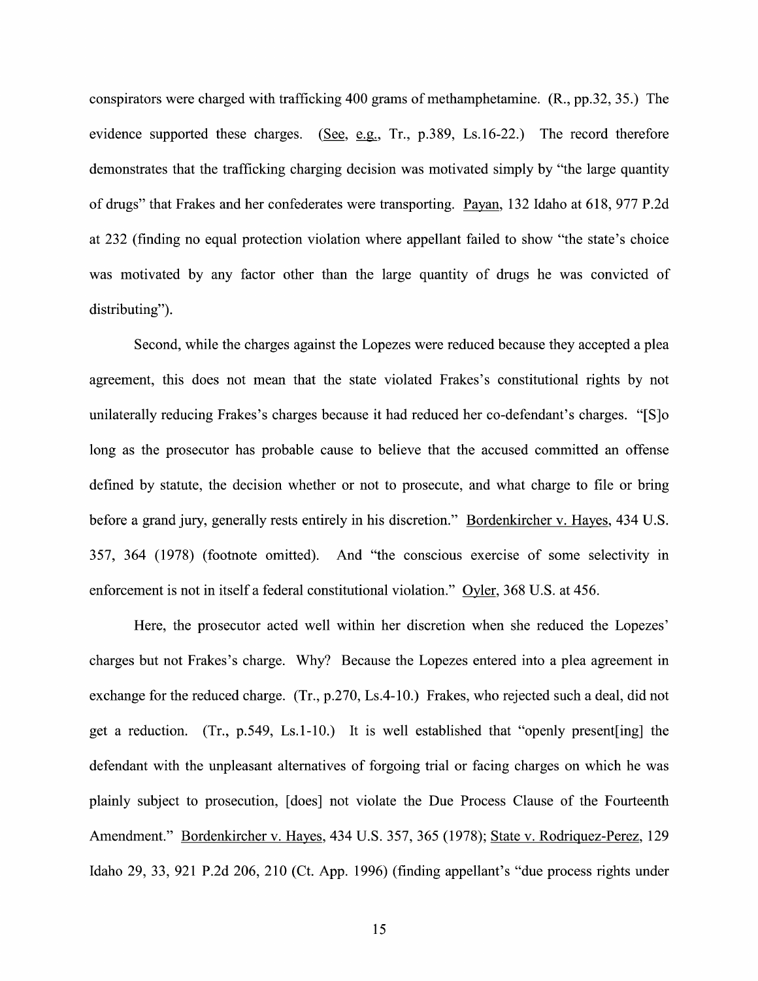conspirators were charged with trafficking 400 grams of methamphetamine. (R., pp.32, 35.) The evidence supported these charges. (See, e.g., Tr., p.389, Ls.16-22.) The record therefore demonstrates that the trafficking charging decision was motivated simply by "the large quantity of drugs" that Frakes and her confederates were transporting. Payan, 132 Idaho at 618, 977 P.2d at 232 (finding no equal protection violation where appellant failed to show "the state's choice was motivated by any factor other than the large quantity 0f drugs he was convicted of distributing").

Second, while the charges against the Lopezes were reduced because they accepted a plea agreement, this does not mean that the state violated Frakes's constitutional rights by not unilaterally reducing Frakes's charges because it had reduced her co-defendant's charges. "[S]o long as the prosecutor has probable cause to believe that the accused committed an offense defined by statute, the decision whether or not to prosecute, and what charge to file or bring before a grand jury, generally rests entirely in his discretion." Bordenkircher v. Hayes, 434 U.S. 357, 364 (1978) (footnote omitted). And "the conscious exercise 0f some selectivity in enforcement is not in itself a federal constitutional violation." Oyler, 368 U.S. at 456.

Here, the prosecutor acted well Within her discretion When she reduced the Lopezes' charges but not Frakes's charge. Why? Because the Lopezes entered into a plea agreement in exchange for the reduced charge. (Tr., p.270, Ls.4-10.) Frakes, who rejected such a deal, did not get a reduction. (Tr., p.549, Ls.1-10.) It is well established that "openly present [ing] the defendant with the unpleasant alternatives of forgoing trial 0r facing charges on which he was plainly subject to prosecution, [does] not violate the Due Process Clause of the Fourteenth Amendment." Bordenkircher v. Hayes, 434 U.S. 357, 365 (1978); State v. Rodriquez-Perez, 129 Idaho 29, 33, 921 P.2d 206, 210 (Ct. App. 1996) (finding appellant's "due process rights under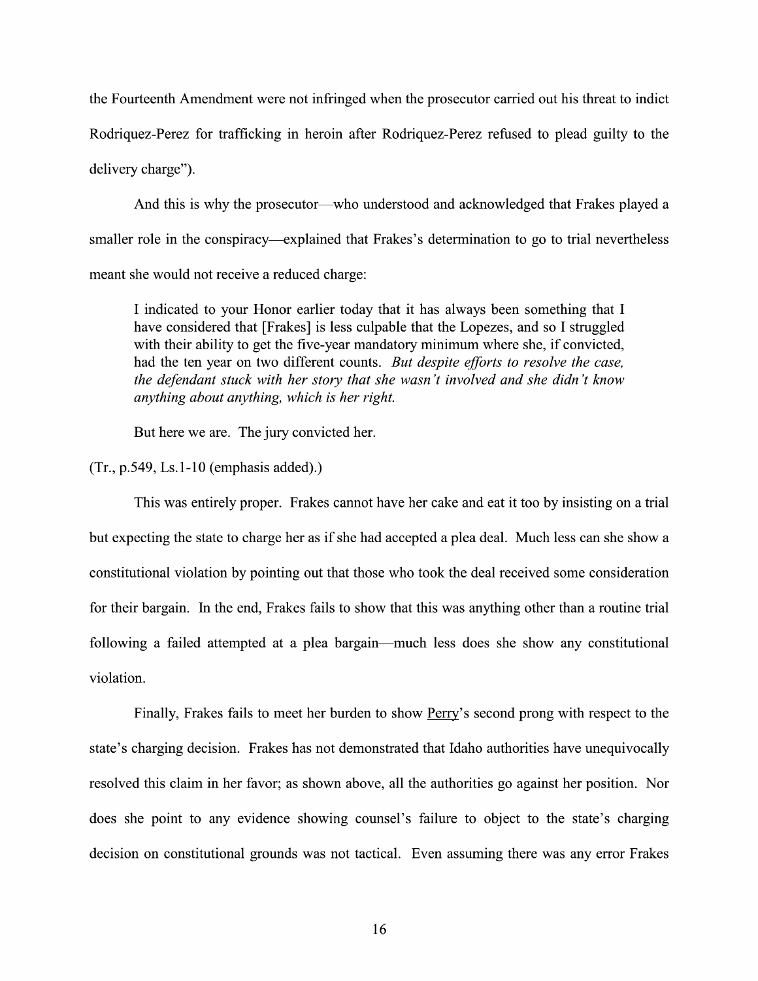the Fourteenth Amendment were not infringed When the prosecutor carried out his threat to indict Rodriquez-Perez for trafficking in heroin after Rodriquez-Perez refused to plead guilty to the delivery charge").

And this is why the prosecutor—who understood and acknowledged that Frakes played a smaller role in the conspiracy—explained that Frakes's determination to go to trial nevertheless meant she would not receive a reduced charge:

I indicated to your Honor earlier today that it has always been something that I have considered that [Frakes] is less culpable that the Lopezes, and so I struggled with their ability to get the five-year mandatory minimum where she, if convicted, had the ten year on two different counts. But despite efforts to resolve the case, the defendant stuck with her story that she wasn 't involved and she didn 't know anything about anything, which is her right.

But here we are. The jury convicted her.

 $(Tr., p.549, Ls.1-10$  (emphasis added).)

This was entirely proper. Frakes cannot have her cake and eat it too by insisting on a trial but expecting the state to charge her as if she had accepted a plea deal. Much less can she show a constitutional violation by pointing out that those who took the deal received some consideration for their bargain. In the end, Frakes fails to show that this was anything other than a routine trial following a failed attempted at a plea bargain—much less does she show any constitutional Violation.

Finally, Frakes fails to meet her burden to show Perry's second prong with respect to the state's charging decision. Frakes has not demonstrated that Idaho authorities have unequivocally resolved this claim in her favor; as shown above, all the authorities go against her position. Nor does she point to any evidence showing counsel's failure to object to the state's charging decision 0n constitutional grounds was not tactical. Even assuming there was any error Frakes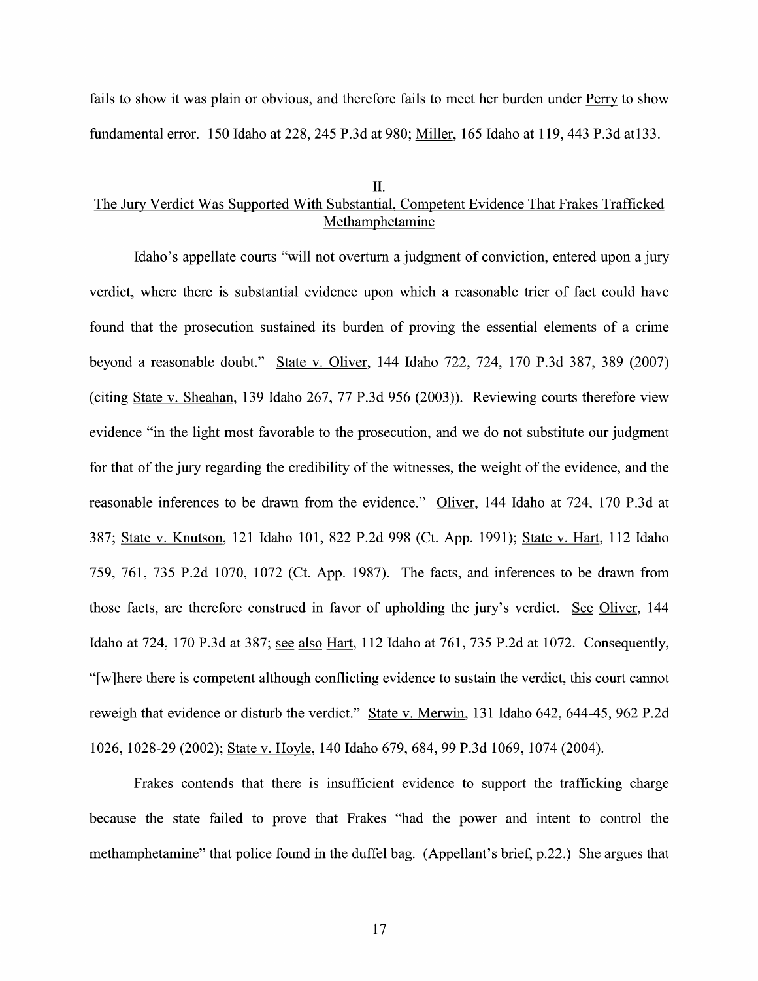fails to show it was plain or obvious, and therefore fails to meet her burden under Perry to show fundamental error. 150 Idaho at 228, 245 P.3d at 980; Miller, 165 Idaho at 119, 443 P.3d at133.

#### II.

# The Jury Verdict Was Supported With Substantial, Competent Evidence That Frakes Trafficked Methamphetamine

Idaho's appellate courts "will not overturn a judgment of conviction, entered upon a jury verdict, where there is substantial evidence upon which a reasonable trier of fact could have found that the prosecution sustained its burden of proving the essential elements of a crime beyond a reasonable doubt." State v. Oliver, 144 Idaho 722, 724, 170 P.3d 387, 389 (2007) (citing State v. Sheahan, 139 Idaho 267, 77 P.3d 956 (2003)). Reviewing courts therefore view evidence "in the light most favorable to the prosecution, and we do not substitute our judgment for that of the jury regarding the credibility of the Witnesses, the weight of the evidence, and the reasonable inferences to be drawn from the evidence." Oliver, 144 Idaho at 724, 170 P.3d at 387; State V. Knutson, 121 Idaho 101, 822 P.2d 998 (Ct. App. 1991); State V. Hart, 112 Idaho 759, 761, 735 P.2d 1070, 1072 (Ct. App. 1987). The facts, and inferences t0 be drawn from those facts, are therefore construed in favor of upholding the jury's verdict. See Oliver, 144 Idaho at 724, 170 P.3d at 387; see also Hart, 112 Idaho at 761, 735 P.2d at 1072. Consequently, "[w]here there is competent although conflicting evidence to sustain the verdict, this court cannot reweigh that evidence or disturb the verdict." State v. Merwin, 131 Idaho 642, 644-45, 962 P.2d 1026, 1028-29 (2002); State V. Hoyle, 140 Idaho 679, 684, 99 P.3d 1069, 1074 (2004).

Frakes contends that there is insufficient evidence to support the trafficking charge because the state failed to prove that Frakes "had the power and intent to control the methamphetamine" that police found in the duffel bag. (Appellant's brief, p.22.) She argues that

17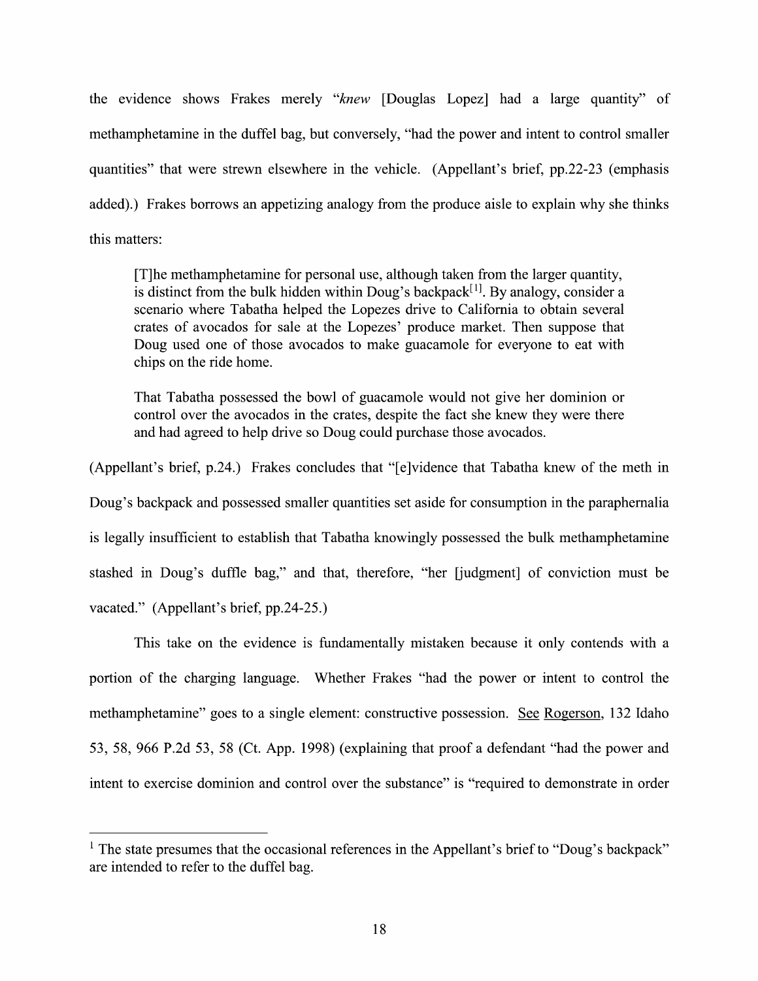the evidence shows Frakes merely "knew [Douglas Lopez] had a large quantity" of methamphetamine in the duffel bag, but conversely, "had the power and intent to control smaller quantities" that were strewn elsewhere in the vehicle. (Appellant's brief, pp.22-23 (emphasis added).) Frakes borrows an appetizing analogy from the produce aisle to explain why she thinks this matters:

[T]he methamphetamine for personal use, although taken from the larger quantity, is distinct from the bulk hidden within Doug's backpack<sup>[1]</sup>. By analogy, consider a scenario where Tabatha helped the Lopezes drive to California to obtain several crates 0f avocados for sale at the Lopezes' produce market. Then suppose that Doug used one of those avocados to make guacamole for everyone to eat with chips on the ride home.

That Tabatha possessed the bowl 0f guacamole would not give her dominion or control over the avocados in the crates, despite the fact she knew they were there and had agreed to help drive so Doug could purchase those avocados.

(Appellant's brief, p.24.) Frakes concludes that "[e]vidence that Tabatha knew of the meth in Doug's backpack and possessed smaller quantities set aside for consumption in the paraphernalia is legally insufficient to establish that Tabatha knowingly possessed the bulk methamphetamine stashed in Doug's duffle bag," and that, therefore, "her [judgment] 0f conviction must be vacated." (Appellant's brief, pp.24-25.)

This take on the evidence is fundamentally mistaken because it only contends with a portion 0f the charging language. Whether Frakes "had the power 0r intent to control the methamphetamine" goes to a single element: constructive possession. See Rogerson, 132 Idaho 53, 58, 966 P.2d 53, 58 (Ct. App. 1998) (explaining that proof defendant "had the power and intent to exercise dominion and control over the substance" is "required to demonstrate in order

<sup>&</sup>lt;sup>1</sup> The state presumes that the occasional references in the Appellant's brief to "Doug's backpack" are intended to refer to the duffel bag.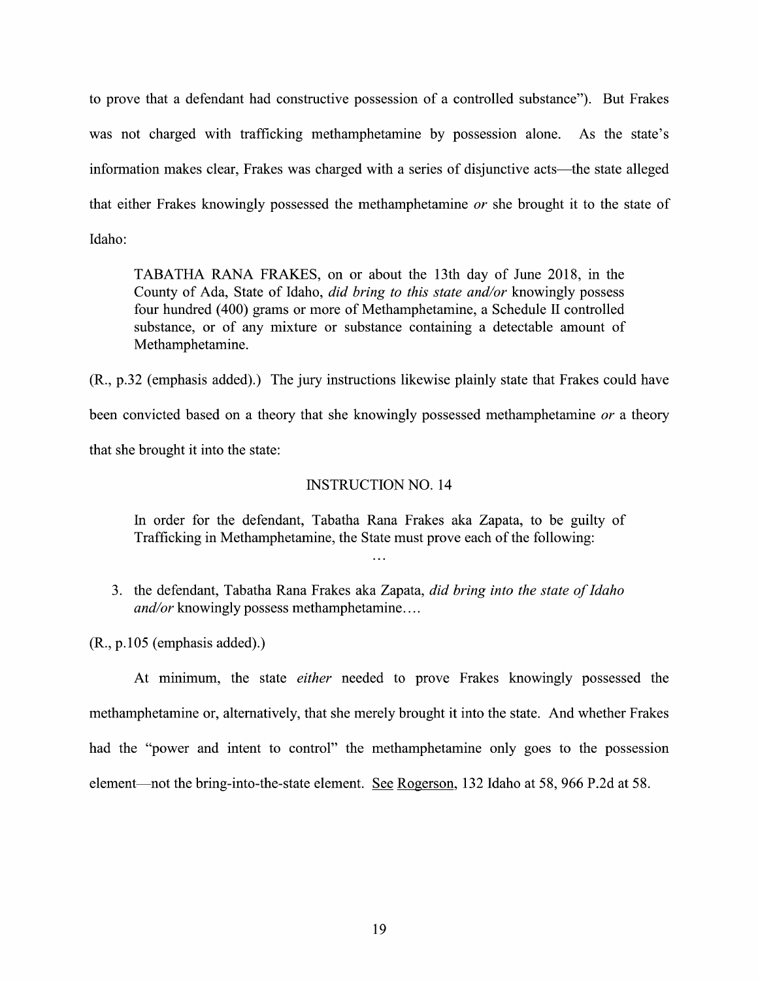to prove that a defendant had constructive possession of a controlled substance"). But Frakes was not charged with trafficking methamphetamine by possession alone. As the state's information makes clear, Frakes was charged with a series of disjunctive acts—the state alleged that either Frakes knowingly possessed the methamphetamine or she brought it to the state of Idaho:

TABATHA RANA FRAKES, 0n or about the 13th day 0f June 2018, in the County of Ada, State of Idaho, *did bring to this state and/or* knowingly possess four hundred (400) grams or more of Methamphetamine, a Schedule II controlled substance, or of any mixture or substance containing a detectable amount of Methamphetamine.

(R., p.32 (emphasis added).) The jury instructions likewise plainly state that Frakes could have been convicted based on a theory that she knowingly possessed methamphetamine  $or$  a theory that she brought it into the state:

## INSTRUCTION NO. 14

In order for the defendant, Tabatha Rana Frakes aka Zapata, to be guilty of Trafficking in Methamphetamine, the State must prove each of the following:

3. the defendant, Tabatha Rana Frakes aka Zapata, did bring into the state of Idaho and/or knowingly possess methamphetamine....

(R., p.105 (emphasis added).)

At minimum, the state *either* needed to prove Frakes knowingly possessed the methamphetamine 0r, alternatively, that she merely brought itinto the state. And whether Frakes had the "power and intent to control" the methamphetamine only goes to the possession element—not the bring-into-the-state element. See Rogerson, 132 Idaho at 58, 966 P.2d at 58.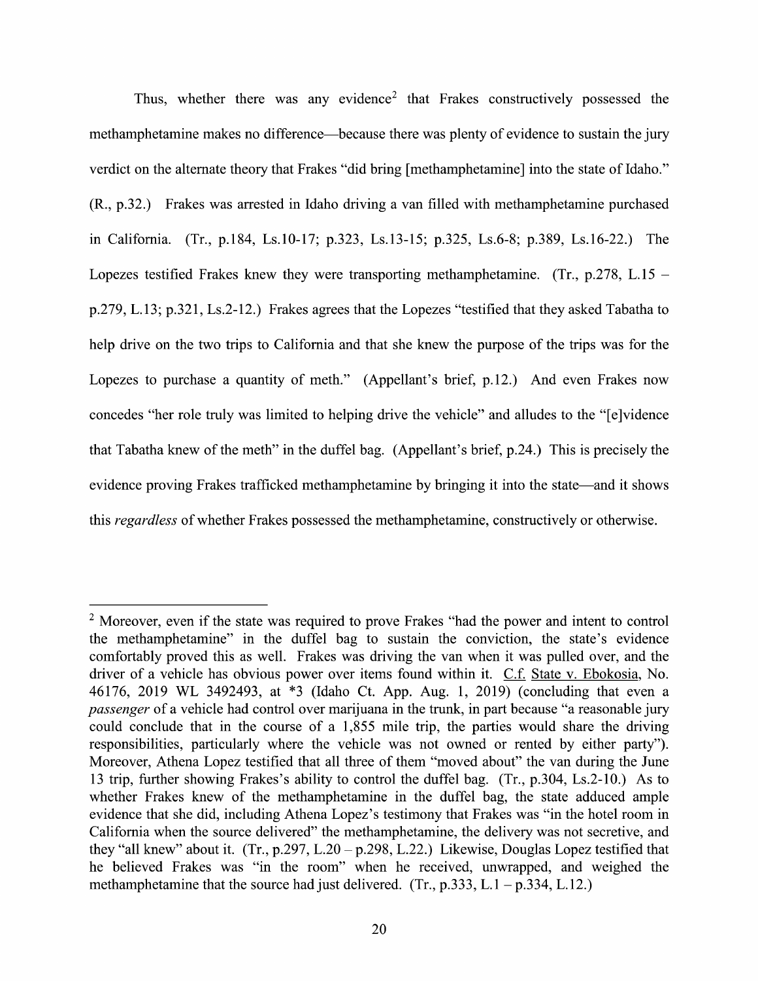Thus, whether there was any evidence<sup>2</sup> that Frakes constructively possessed the methamphetamine makes no difference—because there was plenty 0f evidence to sustain the jury verdict on the alternate theory that Frakes "did bring [methamphetamine] into the state of Idaho."  $(R., p.32.)$  Frakes was arrested in Idaho driving a van filled with methamphetamine purchased in California. (Tr., p.184, Ls.10-17; p.323, Ls.13-15; p.325, Ls.6-8; p.389, Ls.16-22.) The Lopezes testified Frakes knew they were transporting methamphetamine. (Tr., p.278, L.15 – p.279, L.13; p.321, Ls.2-12.) Frakes agrees that the Lopezes "testified that they asked Tabatha t0 help drive on the two trips to California and that she knew the purpose of the trips was for the Lopezes to purchase a quantity of meth." (Appellant's brief, p.12.) And even Frakes now concedes "her role truly was limited to helping drive the vehicle" and alludes to the "[e]vidence that Tabatha knew 0f the meth" in the duffel bag. (Appellant's brief, p.24.) This is precisely the evidence proving Frakes trafficked methamphetamine by bringing it into the state—and it shows this *regardless* of whether Frakes possessed the methamphetamine, constructively or otherwise.

 $<sup>2</sup>$  Moreover, even if the state was required to prove Frakes "had the power and intent to control</sup> the methamphetamine" in the duffel bag to sustain the conviction, the state's evidence comfortably proved this as well. Frakes was driving the van when it was pulled over, and the driver of a vehicle has obvious power over items found within it. C.f. State v. Ebokosia, No. 46176, <sup>2019</sup> WL 3492493, at \*3 (Idaho Ct. App. Aug. 1, 2019) (concluding that even passenger of a vehicle had control over marijuana in the trunk, in part because "a reasonable jury could conclude that in the course of a 1,855 mile trip, the parties would share the driving responsibilities, particularly Where the vehicle was not owned or rented by either party"). Moreover, Athena Lopez testified that all three of them "moved about" the van during the June 13 trip, further showing Frakes's ability to control the duffel bag. (Tr., p.304, Ls.2-10.) As to whether Frakes knew of the methamphetamine in the duffel bag, the state adduced ample evidence that she did, including Athena Lopez's testimony that Frakes was "in the hotel room in California when the source delivered" the methamphetamine, the delivery was not secretive, and they "all knew" about it.  $(Tr, p.297, L.20 - p.298, L.22)$  Likewise, Douglas Lopez testified that he believed Frakes was "in the room" When he received, unwrapped, and weighed the methamphetamine that the source had just delivered. (Tr., p.333, L.1 – p.334, L.12.)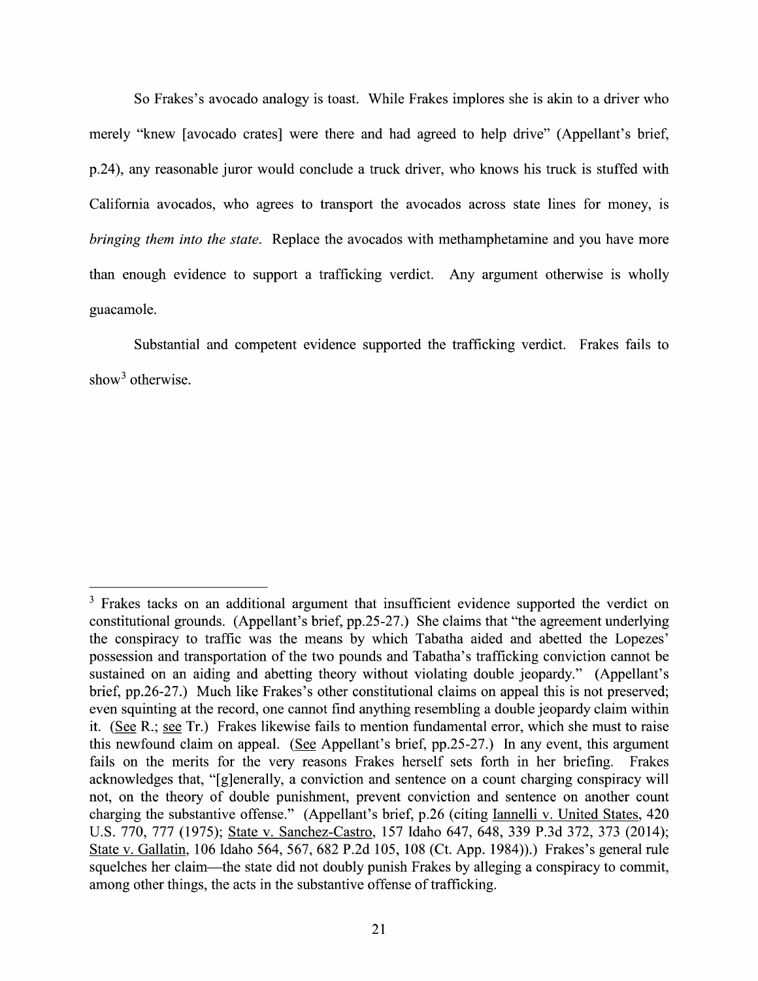So Frakes's avocado analogy is toast. While Frakes implores she is akin to a driver who merely "knew [avocado crates] were there and had agreed t0 help drive" (Appellant's brief, p.24), any reasonable juror would conclude a truck driver, who knows his truck is stuffed with California avocados, who agrees to transport the avocados across state lines for money, is bringing them into the state. Replace the avocados with methamphetamine and you have more than enough evidence to support a trafficking verdict. Any argument otherwise is wholly guacamole.

Substantial and competent evidence supported the trafficking verdict. Frakes fails to show<sup>3</sup> otherwise.

<sup>&</sup>lt;sup>3</sup> Frakes tacks on an additional argument that insufficient evidence supported the verdict on constitutional grounds. (Appellant's brief, pp.25-27.) She claims that "the agreement underlying the conspiracy t0 traffic was the means by which Tabatha aided and abetted the Lopezes' possession and transportation of the two pounds and Tabatha's trafficking conviction cannot be sustained on an aiding and abetting theory without violating double jeopardy." (Appellant's brief, pp.26-27.) Much like Frakes's other constitutional claims on appeal this is not preserved; even squinting at the record, one cannot find anything resembling a double jeopardy claim within it. (See R.; see Tr.) Frakes likewise fails to mention fundamental error, which she must to raise this newfound claim on appeal. (See Appellant's brief,  $pp.25-27$ .) In any event, this argument fails 0n the merits for the very reasons Frakes herself sets forth in her briefing. Frakes acknowledges that, "[g]enerally, a conviction and sentence on a count charging conspiracy will not, on the theory of double punishment, prevent conviction and sentence 0n another count charging the substantive offense." (Appellant's brief, p.26 (citing Iannelli V. United States, 420 U.S. 770, 777 (1975); State v. Sanchez-Castro, 157 Idaho 647, 648, 339 P.3d 372, 373 (2014); State V. Gallatin, 106 Idaho 564, 567, 682 P.2d 105, 108 (Ct. App. 1984)).) Frakes's general rule squelches her claim—the state did not doubly punish Frakes by alleging a conspiracy to commit, among other things, the acts in the substantive offense of trafficking.